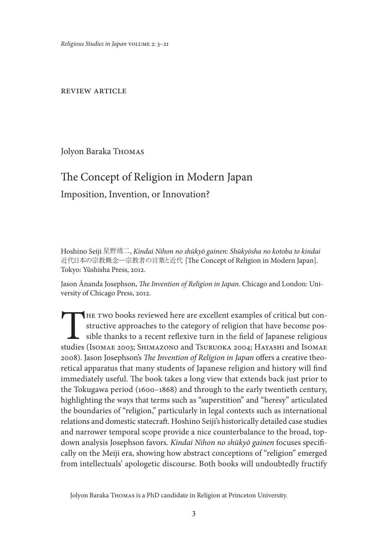*Religious Studies in Japan* volume 2: 3–21

review article

Jolyon Baraka Thomas

# The Concept of Religion in Modern Japan Imposition, Invention, or Innovation?

Hoshino Seiji 星野靖二, *Kindai Nihon no shūkyō gainen: Shūkyōsha no kotoba to kindai*  近代日本の宗教概念―宗教者の言葉と近代 [The Concept of Religion in Modern Japan]. Tokyo: Yūshisha Press, 2012.

Jason Ānanda Josephson, *The Invention of Religion in Japan*. Chicago and London: University of Chicago Press, 2012.

THE TWO books reviewed here are excellent examples of critical but constructive approaches to the category of religion that have become possible thanks to a recent reflexive turn in the field of Japanese religious studies structive approaches to the category of religion that have become possible thanks to a recent reflexive turn in the field of Japanese religious studies (Isomae 2003; Shimazono and Tsuruoka 2004; Hayashi and Isomae 2008). Jason Josephson's *The Invention of Religion in Japan* offers a creative theoretical apparatus that many students of Japanese religion and history will find immediately useful. The book takes a long view that extends back just prior to the Tokugawa period (1600–1868) and through to the early twentieth century, highlighting the ways that terms such as "superstition" and "heresy" articulated the boundaries of "religion," particularly in legal contexts such as international relations and domestic statecraft. Hoshino Seiji's historically detailed case studies and narrower temporal scope provide a nice counterbalance to the broad, topdown analysis Josephson favors. *Kindai Nihon no shūkyō gainen* focuses specifically on the Meiji era, showing how abstract conceptions of "religion" emerged from intellectuals' apologetic discourse. Both books will undoubtedly fructify

Jolyon Baraka Thomas is a PhD candidate in Religion at Princeton University.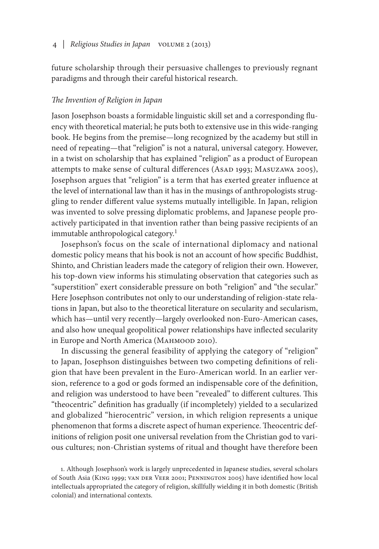future scholarship through their persuasive challenges to previously regnant paradigms and through their careful historical research.

#### *The Invention of Religion in Japan*

Jason Josephson boasts a formidable linguistic skill set and a corresponding fluency with theoretical material; he puts both to extensive use in this wide-ranging book. He begins from the premise—long recognized by the academy but still in need of repeating—that "religion" is not a natural, universal category. However, in a twist on scholarship that has explained "religion" as a product of European attempts to make sense of cultural differences (AsAD 1993; MASUZAWA 2005), Josephson argues that "religion" is a term that has exerted greater influence at the level of international law than it has in the musings of anthropologists struggling to render different value systems mutually intelligible. In Japan, religion was invented to solve pressing diplomatic problems, and Japanese people proactively participated in that invention rather than being passive recipients of an immutable anthropological category.<sup>1</sup>

Josephson's focus on the scale of international diplomacy and national domestic policy means that his book is not an account of how specific Buddhist, Shinto, and Christian leaders made the category of religion their own. However, his top-down view informs his stimulating observation that categories such as "superstition" exert considerable pressure on both "religion" and "the secular." Here Josephson contributes not only to our understanding of religion-state relations in Japan, but also to the theoretical literature on secularity and secularism, which has—until very recently—largely overlooked non-Euro-American cases, and also how unequal geopolitical power relationships have inflected secularity in Europe and North America (Манмоор 2010).

In discussing the general feasibility of applying the category of "religion" to Japan, Josephson distinguishes between two competing definitions of religion that have been prevalent in the Euro-American world. In an earlier version, reference to a god or gods formed an indispensable core of the definition, and religion was understood to have been "revealed" to different cultures. This "theocentric" definition has gradually (if incompletely) yielded to a secularized and globalized "hierocentric" version, in which religion represents a unique phenomenon that forms a discrete aspect of human experience. Theocentric definitions of religion posit one universal revelation from the Christian god to various cultures; non-Christian systems of ritual and thought have therefore been

1. Although Josephson's work is largely unprecedented in Japanese studies, several scholars of South Asia (KING 1999; VAN DER VEER 2001; PENNINGTON 2005) have identified how local intellectuals appropriated the category of religion, skillfully wielding it in both domestic (British colonial) and international contexts.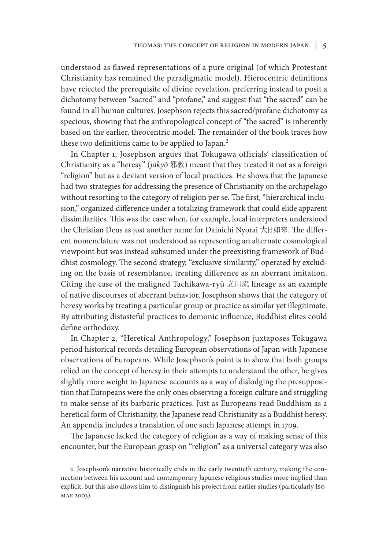understood as flawed representations of a pure original (of which Protestant Christianity has remained the paradigmatic model). Hierocentric definitions have rejected the prerequisite of divine revelation, preferring instead to posit a dichotomy between "sacred" and "profane," and suggest that "the sacred" can be found in all human cultures. Josephson rejects this sacred/profane dichotomy as specious, showing that the anthropological concept of "the sacred" is inherently based on the earlier, theocentric model. The remainder of the book traces how these two definitions came to be applied to Japan.<sup>2</sup>

In Chapter 1, Josephson argues that Tokugawa officials' classification of Christianity as a "heresy" (*jakyō* 邪教) meant that they treated it not as a foreign "religion" but as a deviant version of local practices. He shows that the Japanese had two strategies for addressing the presence of Christianity on the archipelago without resorting to the category of religion per se. The first, "hierarchical inclusion," organized difference under a totalizing framework that could elide apparent dissimilarities. This was the case when, for example, local interpreters understood the Christian Deus as just another name for Dainichi Nyorai 大日如来. The different nomenclature was not understood as representing an alternate cosmological viewpoint but was instead subsumed under the preexisting framework of Buddhist cosmology. The second strategy, "exclusive similarity," operated by excluding on the basis of resemblance, treating difference as an aberrant imitation. Citing the case of the maligned Tachikawa-ryū 立川流 lineage as an example of native discourses of aberrant behavior, Josephson shows that the category of heresy works by treating a particular group or practice as similar yet illegitimate. By attributing distasteful practices to demonic influence, Buddhist elites could define orthodoxy.

In Chapter 2, "Heretical Anthropology," Josephson juxtaposes Tokugawa period historical records detailing European observations of Japan with Japanese observations of Europeans. While Josephson's point is to show that both groups relied on the concept of heresy in their attempts to understand the other, he gives slightly more weight to Japanese accounts as a way of dislodging the presupposition that Europeans were the only ones observing a foreign culture and struggling to make sense of its barbaric practices. Just as Europeans read Buddhism as a heretical form of Christianity, the Japanese read Christianity as a Buddhist heresy. An appendix includes a translation of one such Japanese attempt in 1709.

The Japanese lacked the category of religion as a way of making sense of this encounter, but the European grasp on "religion" as a universal category was also

2. Josephson's narrative historically ends in the early twentieth century, making the connection between his account and contemporary Japanese religious studies more implied than explicit, but this also allows him to distinguish his project from earlier studies (particularly Iso-MAE 2003).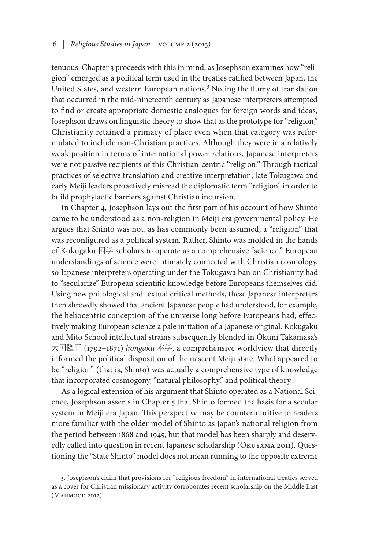tenuous. Chapter 3 proceeds with this in mind, as Josephson examines how "religion" emerged as a political term used in the treaties ratified between Japan, the United States, and western European nations.3 Noting the flurry of translation that occurred in the mid-nineteenth century as Japanese interpreters attempted to find or create appropriate domestic analogues for foreign words and ideas, Josephson draws on linguistic theory to show that as the prototype for "religion," Christianity retained a primacy of place even when that category was reformulated to include non-Christian practices. Although they were in a relatively weak position in terms of international power relations, Japanese interpreters were not passive recipients of this Christian-centric "religion." Through tactical practices of selective translation and creative interpretation, late Tokugawa and early Meiji leaders proactively misread the diplomatic term "religion" in order to build prophylactic barriers against Christian incursion.

In Chapter 4, Josephson lays out the first part of his account of how Shinto came to be understood as a non-religion in Meiji era governmental policy. He argues that Shinto was not, as has commonly been assumed, a "religion" that was reconfigured as a political system. Rather, Shinto was molded in the hands of Kokugaku 国学 scholars to operate as a comprehensive "science." European understandings of science were intimately connected with Christian cosmology, so Japanese interpreters operating under the Tokugawa ban on Christianity had to "secularize" European scientific knowledge before Europeans themselves did. Using new philological and textual critical methods, these Japanese interpreters then shrewdly showed that ancient Japanese people had understood, for example, the heliocentric conception of the universe long before Europeans had, effectively making European science a pale imitation of a Japanese original. Kokugaku and Mito School intellectual strains subsequently blended in Ōkuni Takamasa's 大国隆正 (1792–1871) *hongaku* 本学, a comprehensive worldview that directly informed the political disposition of the nascent Meiji state. What appeared to be "religion" (that is, Shinto) was actually a comprehensive type of knowledge that incorporated cosmogony, "natural philosophy," and political theory.

As a logical extension of his argument that Shinto operated as a National Science, Josephson asserts in Chapter 5 that Shinto formed the basis for a secular system in Meiji era Japan. This perspective may be counterintuitive to readers more familiar with the older model of Shinto as Japan's national religion from the period between 1868 and 1945, but that model has been sharply and deservedly called into question in recent Japanese scholarship (Okuyama 2011). Questioning the "State Shinto" model does not mean running to the opposite extreme

<sup>3.</sup> Josephson's claim that provisions for "religious freedom" in international treaties served as a cover for Christian missionary activity corroborates recent scholarship on the Middle East (MAHMOOD 2012).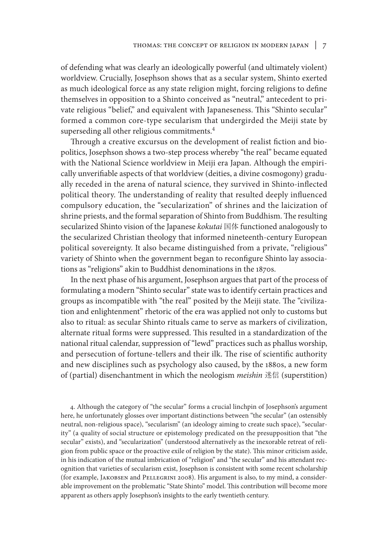of defending what was clearly an ideologically powerful (and ultimately violent) worldview. Crucially, Josephson shows that as a secular system, Shinto exerted as much ideological force as any state religion might, forcing religions to define themselves in opposition to a Shinto conceived as "neutral," antecedent to private religious "belief," and equivalent with Japaneseness. This "Shinto secular" formed a common core-type secularism that undergirded the Meiji state by superseding all other religious commitments.4

Through a creative excursus on the development of realist fiction and biopolitics, Josephson shows a two-step process whereby "the real" became equated with the National Science worldview in Meiji era Japan. Although the empirically unverifiable aspects of that worldview (deities, a divine cosmogony) gradually receded in the arena of natural science, they survived in Shinto-inflected political theory. The understanding of reality that resulted deeply influenced compulsory education, the "secularization" of shrines and the laicization of shrine priests, and the formal separation of Shinto from Buddhism. The resulting secularized Shinto vision of the Japanese *kokutai* 国体 functioned analogously to the secularized Christian theology that informed nineteenth-century European political sovereignty. It also became distinguished from a private, "religious" variety of Shinto when the government began to reconfigure Shinto lay associations as "religions" akin to Buddhist denominations in the 1870s.

In the next phase of his argument, Josephson argues that part of the process of formulating a modern "Shinto secular" state was to identify certain practices and groups as incompatible with "the real" posited by the Meiji state. The "civilization and enlightenment" rhetoric of the era was applied not only to customs but also to ritual: as secular Shinto rituals came to serve as markers of civilization, alternate ritual forms were suppressed. This resulted in a standardization of the national ritual calendar, suppression of "lewd" practices such as phallus worship, and persecution of fortune-tellers and their ilk. The rise of scientific authority and new disciplines such as psychology also caused, by the 1880s, a new form of (partial) disenchantment in which the neologism *meishin* 迷信 (superstition)

4. Although the category of "the secular" forms a crucial linchpin of Josephson's argument here, he unfortunately glosses over important distinctions between "the secular" (an ostensibly neutral, non-religious space), "secularism" (an ideology aiming to create such space), "secularity" (a quality of social structure or epistemology predicated on the presupposition that "the secular" exists), and "secularization" (understood alternatively as the inexorable retreat of religion from public space or the proactive exile of religion by the state). This minor criticism aside, in his indication of the mutual imbrication of "religion" and "the secular" and his attendant recognition that varieties of secularism exist, Josephson is consistent with some recent scholarship (for example, Jakobsen and Pellegrini 2008). His argument is also, to my mind, a considerable improvement on the problematic "State Shinto" model. This contribution will become more apparent as others apply Josephson's insights to the early twentieth century.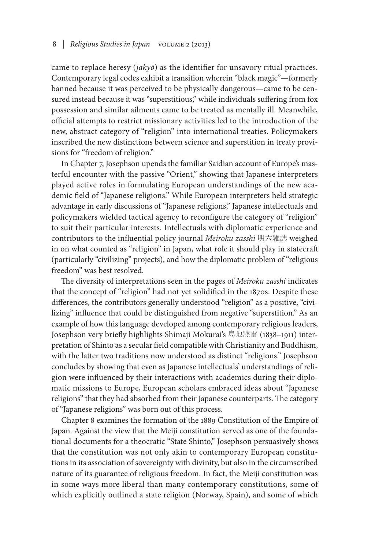came to replace heresy (*jakyō*) as the identifier for unsavory ritual practices. Contemporary legal codes exhibit a transition wherein "black magic"—formerly banned because it was perceived to be physically dangerous—came to be censured instead because it was "superstitious," while individuals suffering from fox possession and similar ailments came to be treated as mentally ill. Meanwhile, official attempts to restrict missionary activities led to the introduction of the new, abstract category of "religion" into international treaties. Policymakers inscribed the new distinctions between science and superstition in treaty provisions for "freedom of religion."

In Chapter 7, Josephson upends the familiar Saidian account of Europe's masterful encounter with the passive "Orient," showing that Japanese interpreters played active roles in formulating European understandings of the new academic field of "Japanese religions." While European interpreters held strategic advantage in early discussions of "Japanese religions," Japanese intellectuals and policymakers wielded tactical agency to reconfigure the category of "religion" to suit their particular interests. Intellectuals with diplomatic experience and contributors to the influential policy journal *Meiroku zasshi* 明六雑誌 weighed in on what counted as "religion" in Japan, what role it should play in statecraft (particularly "civilizing" projects), and how the diplomatic problem of "religious freedom" was best resolved.

The diversity of interpretations seen in the pages of *Meiroku zasshi* indicates that the concept of "religion" had not yet solidified in the 1870s. Despite these differences, the contributors generally understood "religion" as a positive, "civilizing" influence that could be distinguished from negative "superstition." As an example of how this language developed among contemporary religious leaders, Josephson very briefly highlights Shimaji Mokurai's 島地黙雷 (1838–1911) interpretation of Shinto as a secular field compatible with Christianity and Buddhism, with the latter two traditions now understood as distinct "religions." Josephson concludes by showing that even as Japanese intellectuals' understandings of religion were influenced by their interactions with academics during their diplomatic missions to Europe, European scholars embraced ideas about "Japanese religions" that they had absorbed from their Japanese counterparts. The category of "Japanese religions" was born out of this process.

Chapter 8 examines the formation of the 1889 Constitution of the Empire of Japan. Against the view that the Meiji constitution served as one of the foundational documents for a theocratic "State Shinto," Josephson persuasively shows that the constitution was not only akin to contemporary European constitutions in its association of sovereignty with divinity, but also in the circumscribed nature of its guarantee of religious freedom. In fact, the Meiji constitution was in some ways more liberal than many contemporary constitutions, some of which explicitly outlined a state religion (Norway, Spain), and some of which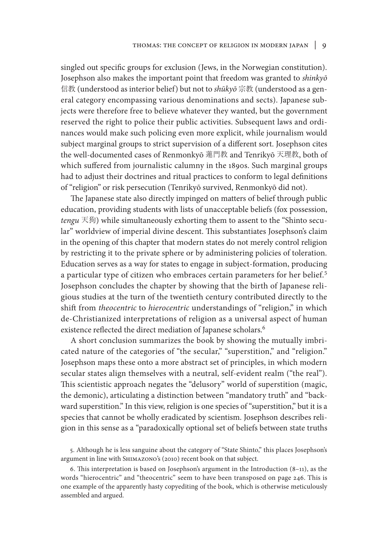singled out specific groups for exclusion (Jews, in the Norwegian constitution). Josephson also makes the important point that freedom was granted to *shinkyō*  信教 (understood as interior belief) but not to *shūkyō* 宗教 (understood as a general category encompassing various denominations and sects). Japanese subjects were therefore free to believe whatever they wanted, but the government reserved the right to police their public activities. Subsequent laws and ordinances would make such policing even more explicit, while journalism would subject marginal groups to strict supervision of a different sort. Josephson cites the well-documented cases of Renmonkyō 蓮門教 and Tenrikyō 天理教, both of which suffered from journalistic calumny in the 1890s. Such marginal groups had to adjust their doctrines and ritual practices to conform to legal definitions of "religion" or risk persecution (Tenrikyō survived, Renmonkyō did not).

The Japanese state also directly impinged on matters of belief through public education, providing students with lists of unacceptable beliefs (fox possession, *tengu* 天狗) while simultaneously exhorting them to assent to the "Shinto secular" worldview of imperial divine descent. This substantiates Josephson's claim in the opening of this chapter that modern states do not merely control religion by restricting it to the private sphere or by administering policies of toleration. Education serves as a way for states to engage in subject-formation, producing a particular type of citizen who embraces certain parameters for her belief.<sup>5</sup> Josephson concludes the chapter by showing that the birth of Japanese religious studies at the turn of the twentieth century contributed directly to the shift from *theocentric* to *hierocentric* understandings of "religion," in which de-Christianized interpretations of religion as a universal aspect of human existence reflected the direct mediation of Japanese scholars.<sup>6</sup>

A short conclusion summarizes the book by showing the mutually imbricated nature of the categories of "the secular," "superstition," and "religion." Josephson maps these onto a more abstract set of principles, in which modern secular states align themselves with a neutral, self-evident realm ("the real"). This scientistic approach negates the "delusory" world of superstition (magic, the demonic), articulating a distinction between "mandatory truth" and "backward superstition." In this view, religion is one species of "superstition," but it is a species that cannot be wholly eradicated by scientism. Josephson describes religion in this sense as a "paradoxically optional set of beliefs between state truths

5. Although he is less sanguine about the category of "State Shinto," this places Josephson's argument in line with Shimazono's (2010) recent book on that subject.

6. This interpretation is based on Josephson's argument in the Introduction (8–11), as the words "hierocentric" and "theocentric" seem to have been transposed on page 246. This is one example of the apparently hasty copyediting of the book, which is otherwise meticulously assembled and argued.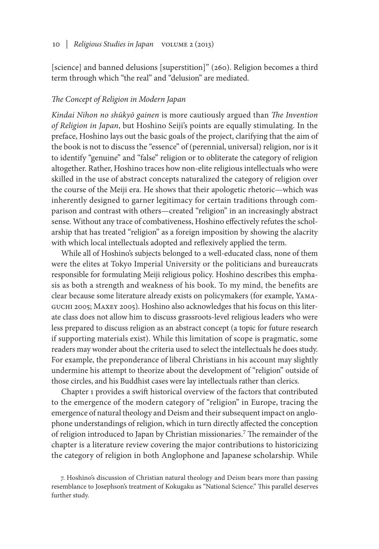[science] and banned delusions [superstition]" (260). Religion becomes a third term through which "the real" and "delusion" are mediated.

## *The Concept of Religion in Modern Japan*

*Kindai Nihon no shūkyō gainen* is more cautiously argued than *The Invention of Religion in Japan*, but Hoshino Seiji's points are equally stimulating. In the preface, Hoshino lays out the basic goals of the project, clarifying that the aim of the book is not to discuss the "essence" of (perennial, universal) religion, nor is it to identify "genuine" and "false" religion or to obliterate the category of religion altogether. Rather, Hoshino traces how non-elite religious intellectuals who were skilled in the use of abstract concepts naturalized the category of religion over the course of the Meiji era. He shows that their apologetic rhetoric—which was inherently designed to garner legitimacy for certain traditions through comparison and contrast with others—created "religion" in an increasingly abstract sense. Without any trace of combativeness, Hoshino effectively refutes the scholarship that has treated "religion" as a foreign imposition by showing the alacrity with which local intellectuals adopted and reflexively applied the term.

While all of Hoshino's subjects belonged to a well-educated class, none of them were the elites at Tokyo Imperial University or the politicians and bureaucrats responsible for formulating Meiji religious policy. Hoshino describes this emphasis as both a strength and weakness of his book. To my mind, the benefits are clear because some literature already exists on policymakers (for example, Yamaguchi 2005; Maxey 2005). Hoshino also acknowledges that his focus on this literate class does not allow him to discuss grassroots-level religious leaders who were less prepared to discuss religion as an abstract concept (a topic for future research if supporting materials exist). While this limitation of scope is pragmatic, some readers may wonder about the criteria used to select the intellectuals he does study. For example, the preponderance of liberal Christians in his account may slightly undermine his attempt to theorize about the development of "religion" outside of those circles, and his Buddhist cases were lay intellectuals rather than clerics.

Chapter 1 provides a swift historical overview of the factors that contributed to the emergence of the modern category of "religion" in Europe, tracing the emergence of natural theology and Deism and their subsequent impact on anglophone understandings of religion, which in turn directly affected the conception of religion introduced to Japan by Christian missionaries.7 The remainder of the chapter is a literature review covering the major contributions to historicizing the category of religion in both Anglophone and Japanese scholarship. While

7. Hoshino's discussion of Christian natural theology and Deism bears more than passing resemblance to Josephson's treatment of Kokugaku as "National Science." This parallel deserves further study.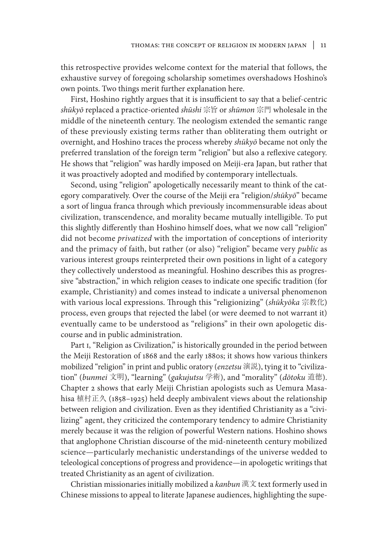this retrospective provides welcome context for the material that follows, the exhaustive survey of foregoing scholarship sometimes overshadows Hoshino's own points. Two things merit further explanation here.

First, Hoshino rightly argues that it is insufficient to say that a belief-centric *shūkyō* replaced a practice-oriented *shūshi* 宗旨 or *shūmon* 宗門 wholesale in the middle of the nineteenth century. The neologism extended the semantic range of these previously existing terms rather than obliterating them outright or overnight, and Hoshino traces the process whereby *shūkyō* became not only the preferred translation of the foreign term "religion" but also a reflexive category. He shows that "religion" was hardly imposed on Meiji-era Japan, but rather that it was proactively adopted and modified by contemporary intellectuals.

Second, using "religion" apologetically necessarily meant to think of the category comparatively. Over the course of the Meiji era "religion/*shūkyō*" became a sort of lingua franca through which previously incommensurable ideas about civilization, transcendence, and morality became mutually intelligible. To put this slightly differently than Hoshino himself does, what we now call "religion" did not become *privatized* with the importation of conceptions of interiority and the primacy of faith, but rather (or also) "religion" became very *public* as various interest groups reinterpreted their own positions in light of a category they collectively understood as meaningful. Hoshino describes this as progressive "abstraction," in which religion ceases to indicate one specific tradition (for example, Christianity) and comes instead to indicate a universal phenomenon with various local expressions. Through this "religionizing" (*shūkyōka* 宗教化) process, even groups that rejected the label (or were deemed to not warrant it) eventually came to be understood as "religions" in their own apologetic discourse and in public administration.

Part I, "Religion as Civilization," is historically grounded in the period between the Meiji Restoration of 1868 and the early 1880s; it shows how various thinkers mobilized "religion" in print and public oratory (*enzetsu* 演説), tying it to "civilization" (*bunmei* 文明), "learning" (*gakujutsu* 学術), and "morality" (*dōtoku* 道徳). Chapter 2 shows that early Meiji Christian apologists such as Uemura Masahisa 植村正久 (1858–1925) held deeply ambivalent views about the relationship between religion and civilization. Even as they identified Christianity as a "civilizing" agent, they criticized the contemporary tendency to admire Christianity merely because it was the religion of powerful Western nations. Hoshino shows that anglophone Christian discourse of the mid-nineteenth century mobilized science—particularly mechanistic understandings of the universe wedded to teleological conceptions of progress and providence—in apologetic writings that treated Christianity as an agent of civilization.

Christian missionaries initially mobilized a *kanbun* 漢文 text formerly used in Chinese missions to appeal to literate Japanese audiences, highlighting the supe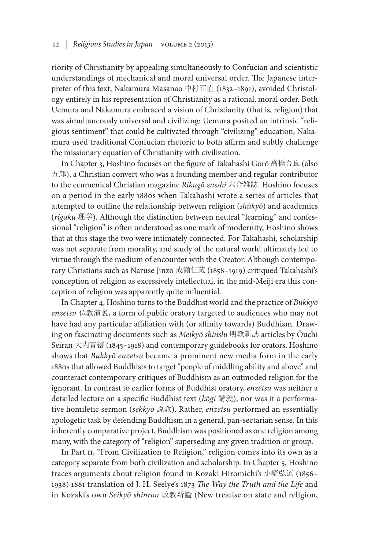riority of Christianity by appealing simultaneously to Confucian and scientistic understandings of mechanical and moral universal order. The Japanese interpreter of this text, Nakamura Masanao 中村正直 (1832–1891), avoided Christology entirely in his representation of Christianity as a rational, moral order. Both Uemura and Nakamura embraced a vision of Christianity (that is, religion) that was simultaneously universal and civilizing: Uemura posited an intrinsic "religious sentiment" that could be cultivated through "civilizing" education; Nakamura used traditional Confucian rhetoric to both affirm and subtly challenge the missionary equation of Christianity with civilization.

In Chapter 3, Hoshino focuses on the figure of Takahashi Gorō 高橋吾良 (also 五郎), a Christian convert who was a founding member and regular contributor to the ecumenical Christian magazine *Rikugō zasshi* 六合雑誌. Hoshino focuses on a period in the early 1880s when Takahashi wrote a series of articles that attempted to outline the relationship between religion (*shūkyō*) and academics (*rigaku* 理学). Although the distinction between neutral "learning" and confessional "religion" is often understood as one mark of modernity, Hoshino shows that at this stage the two were intimately connected. For Takahashi, scholarship was not separate from morality, and study of the natural world ultimately led to virtue through the medium of encounter with the Creator. Although contemporary Christians such as Naruse Jinzō 成瀬仁蔵 (1858–1919) critiqued Takahashi's conception of religion as excessively intellectual, in the mid-Meiji era this conception of religion was apparently quite influential.

In Chapter 4, Hoshino turns to the Buddhist world and the practice of *Bukkyō enzetsu* 仏教演説, a form of public oratory targeted to audiences who may not have had any particular affiliation with (or affinity towards) Buddhism. Drawing on fascinating documents such as *Meikyō shinshi* 明教新誌 articles by Ōuchi Seiran 大内青巒 (1845–1918) and contemporary guidebooks for orators, Hoshino shows that *Bukkyō enzetsu* became a prominent new media form in the early 1880s that allowed Buddhists to target "people of middling ability and above" and counteract contemporary critiques of Buddhism as an outmoded religion for the ignorant. In contrast to earlier forms of Buddhist oratory, *enzetsu* was neither a detailed lecture on a specific Buddhist text (*kōgi* 講義), nor was it a performative homiletic sermon (*sekkyō* 説教). Rather, *enzetsu* performed an essentially apologetic task by defending Buddhism in a general, pan-sectarian sense. In this inherently comparative project, Buddhism was positioned as one religion among many, with the category of "religion" superseding any given tradition or group.

In Part II, "From Civilization to Religion," religion comes into its own as a category separate from both civilization and scholarship. In Chapter 5, Hoshino traces arguments about religion found in Kozaki Hiromichi's 小崎弘道 (1856– 1938) 1881 translation of J. H. Seelye's 1873 *The Way the Truth and the Life* and in Kozaki's own *Seikyō shinron* 政教新論 (New treatise on state and religion,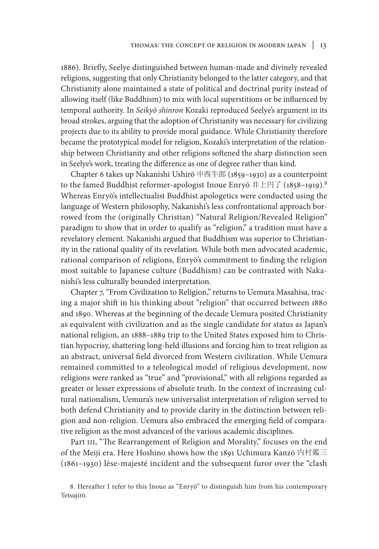1886). Briefly, Seelye distinguished between human-made and divinely revealed religions, suggesting that only Christianity belonged to the latter category, and that Christianity alone maintained a state of political and doctrinal purity instead of allowing itself (like Buddhism) to mix with local superstitions or be influenced by temporal authority. In *Seikyō shinron* Kozaki reproduced Seelye's argument in its broad strokes, arguing that the adoption of Christianity was necessary for civilizing projects due to its ability to provide moral guidance. While Christianity therefore became the prototypical model for religion, Kozaki's interpretation of the relationship between Christianity and other religions softened the sharp distinction seen in Seelye's work, treating the difference as one of degree rather than kind.

Chapter 6 takes up Nakanishi Ushirō 中西牛郎 (1859–1930) as a counterpoint to the famed Buddhist reformer-apologist Inoue Enryō  $\# \pm \pi$  (1858–1919).<sup>8</sup> Whereas Enryō's intellectualist Buddhist apologetics were conducted using the language of Western philosophy, Nakanishi's less confrontational approach borrowed from the (originally Christian) "Natural Religion/Revealed Religion" paradigm to show that in order to qualify as "religion," a tradition must have a revelatory element. Nakanishi argued that Buddhism was superior to Christianity in the rational quality of its revelation. While both men advocated academic, rational comparison of religions, Enryō's commitment to finding the religion most suitable to Japanese culture (Buddhism) can be contrasted with Nakanishi's less culturally bounded interpretation.

Chapter 7, "From Civilization to Religion," returns to Uemura Masahisa, tracing a major shift in his thinking about "religion" that occurred between 1880 and 1890. Whereas at the beginning of the decade Uemura posited Christianity as equivalent with civilization and as the single candidate for status as Japan's national religion, an 1888–1889 trip to the United States exposed him to Christian hypocrisy, shattering long-held illusions and forcing him to treat religion as an abstract, universal field divorced from Western civilization. While Uemura remained committed to a teleological model of religious development, now religions were ranked as "true" and "provisional," with all religions regarded as greater or lesser expressions of absolute truth. In the context of increasing cultural nationalism, Uemura's new universalist interpretation of religion served to both defend Christianity and to provide clarity in the distinction between religion and non-religion. Uemura also embraced the emerging field of comparative religion as the most advanced of the various academic disciplines.

Part III, "The Rearrangement of Religion and Morality," focuses on the end of the Meiji era. Here Hoshino shows how the 1891 Uchimura Kanzō 内村鑑三 (1861–1930) lèse-majesté incident and the subsequent furor over the "clash

<sup>8.</sup> Hereafter I refer to this Inoue as "Enryō" to distinguish him from his contemporary Tetsujirō.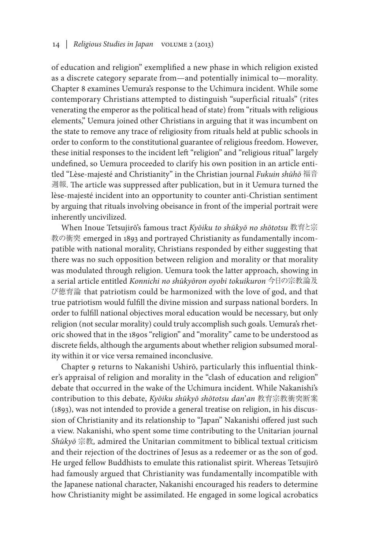of education and religion" exemplified a new phase in which religion existed as a discrete category separate from—and potentially inimical to—morality. Chapter 8 examines Uemura's response to the Uchimura incident. While some contemporary Christians attempted to distinguish "superficial rituals" (rites venerating the emperor as the political head of state) from "rituals with religious elements," Uemura joined other Christians in arguing that it was incumbent on the state to remove any trace of religiosity from rituals held at public schools in order to conform to the constitutional guarantee of religious freedom. However, these initial responses to the incident left "religion" and "religious ritual" largely undefined, so Uemura proceeded to clarify his own position in an article entitled "Lèse-majesté and Christianity" in the Christian journal *Fukuin shūhō* 福音 週報. The article was suppressed after publication, but in it Uemura turned the lèse-majesté incident into an opportunity to counter anti-Christian sentiment by arguing that rituals involving obeisance in front of the imperial portrait were inherently uncivilized.

When Inoue Tetsujirō's famous tract *Kyōiku to shūkyō no shōtotsu* 教育と宗 教の衝突 emerged in 1893 and portrayed Christianity as fundamentally incompatible with national morality, Christians responded by either suggesting that there was no such opposition between religion and morality or that morality was modulated through religion. Uemura took the latter approach, showing in a serial article entitled *Konnichi no shūkyōron oyobi tokuikuron* 今日の宗教論及 び徳育論 that patriotism could be harmonized with the love of god, and that true patriotism would fulfill the divine mission and surpass national borders. In order to fulfill national objectives moral education would be necessary, but only religion (not secular morality) could truly accomplish such goals. Uemura's rhetoric showed that in the 1890s "religion" and "morality" came to be understood as discrete fields, although the arguments about whether religion subsumed morality within it or vice versa remained inconclusive.

Chapter 9 returns to Nakanishi Ushirō, particularly this influential thinker's appraisal of religion and morality in the "clash of education and religion" debate that occurred in the wake of the Uchimura incident. While Nakanishi's contribution to this debate, *Kyōiku shūkyō shōtotsu dan*'*an* 教育宗教衝突断案 (1893), was not intended to provide a general treatise on religion, in his discussion of Christianity and its relationship to "Japan" Nakanishi offered just such a view. Nakanishi, who spent some time contributing to the Unitarian journal *Shūkyō* 宗教*,* admired the Unitarian commitment to biblical textual criticism and their rejection of the doctrines of Jesus as a redeemer or as the son of god. He urged fellow Buddhists to emulate this rationalist spirit. Whereas Tetsujirō had famously argued that Christianity was fundamentally incompatible with the Japanese national character, Nakanishi encouraged his readers to determine how Christianity might be assimilated. He engaged in some logical acrobatics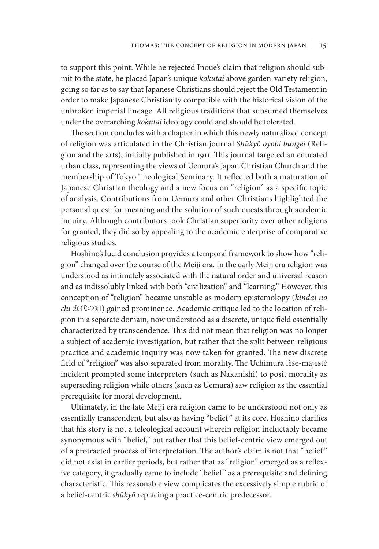to support this point. While he rejected Inoue's claim that religion should submit to the state, he placed Japan's unique *kokutai* above garden-variety religion, going so far as to say that Japanese Christians should reject the Old Testament in order to make Japanese Christianity compatible with the historical vision of the unbroken imperial lineage. All religious traditions that subsumed themselves under the overarching *kokutai* ideology could and should be tolerated.

The section concludes with a chapter in which this newly naturalized concept of religion was articulated in the Christian journal *Shūkyō oyobi bungei* (Religion and the arts), initially published in 1911. This journal targeted an educated urban class, representing the views of Uemura's Japan Christian Church and the membership of Tokyo Theological Seminary. It reflected both a maturation of Japanese Christian theology and a new focus on "religion" as a specific topic of analysis. Contributions from Uemura and other Christians highlighted the personal quest for meaning and the solution of such quests through academic inquiry. Although contributors took Christian superiority over other religions for granted, they did so by appealing to the academic enterprise of comparative religious studies.

Hoshino's lucid conclusion provides a temporal framework to show how "religion" changed over the course of the Meiji era. In the early Meiji era religion was understood as intimately associated with the natural order and universal reason and as indissolubly linked with both "civilization" and "learning." However, this conception of "religion" became unstable as modern epistemology (*kindai no chi* 近代の知) gained prominence. Academic critique led to the location of religion in a separate domain, now understood as a discrete, unique field essentially characterized by transcendence. This did not mean that religion was no longer a subject of academic investigation, but rather that the split between religious practice and academic inquiry was now taken for granted. The new discrete field of "religion" was also separated from morality. The Uchimura lèse-majesté incident prompted some interpreters (such as Nakanishi) to posit morality as superseding religion while others (such as Uemura) saw religion as the essential prerequisite for moral development.

Ultimately, in the late Meiji era religion came to be understood not only as essentially transcendent, but also as having "belief " at its core. Hoshino clarifies that his story is not a teleological account wherein religion ineluctably became synonymous with "belief," but rather that this belief-centric view emerged out of a protracted process of interpretation. The author's claim is not that "belief " did not exist in earlier periods, but rather that as "religion" emerged as a reflexive category, it gradually came to include "belief" as a prerequisite and defining characteristic. This reasonable view complicates the excessively simple rubric of a belief-centric *shūkyō* replacing a practice-centric predecessor.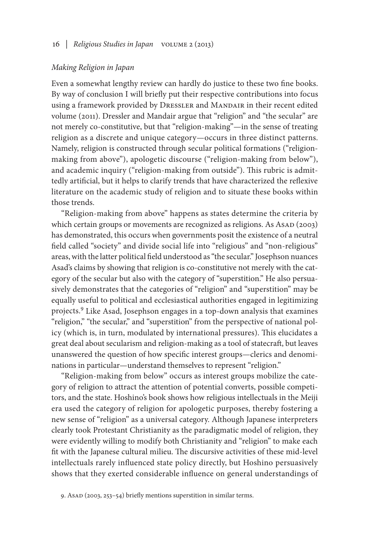#### *Making Religion in Japan*

Even a somewhat lengthy review can hardly do justice to these two fine books. By way of conclusion I will briefly put their respective contributions into focus using a framework provided by DRESSLER and MANDAIR in their recent edited volume (2011). Dressler and Mandair argue that "religion" and "the secular" are not merely co-constitutive, but that "religion-making"—in the sense of treating religion as a discrete and unique category—occurs in three distinct patterns. Namely, religion is constructed through secular political formations ("religionmaking from above"), apologetic discourse ("religion-making from below"), and academic inquiry ("religion-making from outside"). This rubric is admittedly artificial, but it helps to clarify trends that have characterized the reflexive literature on the academic study of religion and to situate these books within those trends.

"Religion-making from above" happens as states determine the criteria by which certain groups or movements are recognized as religions. As AsAD (2003) has demonstrated, this occurs when governments posit the existence of a neutral field called "society" and divide social life into "religious" and "non-religious" areas, with the latter political field understood as "the secular." Josephson nuances Asad's claims by showing that religion is co-constitutive not merely with the category of the secular but also with the category of "superstition." He also persuasively demonstrates that the categories of "religion" and "superstition" may be equally useful to political and ecclesiastical authorities engaged in legitimizing projects.9 Like Asad, Josephson engages in a top-down analysis that examines "religion," "the secular," and "superstition" from the perspective of national policy (which is, in turn, modulated by international pressures). This elucidates a great deal about secularism and religion-making as a tool of statecraft, but leaves unanswered the question of how specific interest groups—clerics and denominations in particular—understand themselves to represent "religion."

"Religion-making from below" occurs as interest groups mobilize the category of religion to attract the attention of potential converts, possible competitors, and the state. Hoshino's book shows how religious intellectuals in the Meiji era used the category of religion for apologetic purposes, thereby fostering a new sense of "religion" as a universal category. Although Japanese interpreters clearly took Protestant Christianity as the paradigmatic model of religion, they were evidently willing to modify both Christianity and "religion" to make each fit with the Japanese cultural milieu. The discursive activities of these mid-level intellectuals rarely influenced state policy directly, but Hoshino persuasively shows that they exerted considerable influence on general understandings of

<sup>9.</sup> Asad (2003, 253-54) briefly mentions superstition in similar terms.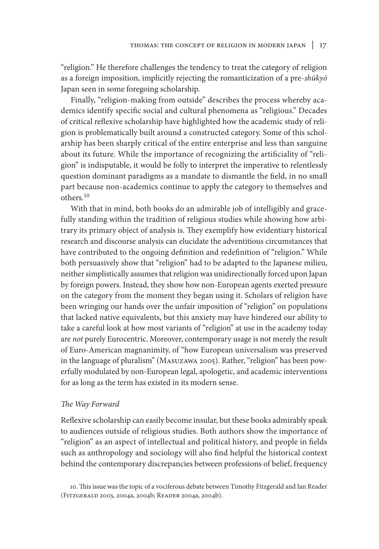"religion." He therefore challenges the tendency to treat the category of religion as a foreign imposition, implicitly rejecting the romanticization of a pre-*shūkyō* Japan seen in some foregoing scholarship.

Finally, "religion-making from outside" describes the process whereby academics identify specific social and cultural phenomena as "religious." Decades of critical reflexive scholarship have highlighted how the academic study of religion is problematically built around a constructed category. Some of this scholarship has been sharply critical of the entire enterprise and less than sanguine about its future. While the importance of recognizing the artificiality of "religion" is indisputable, it would be folly to interpret the imperative to relentlessly question dominant paradigms as a mandate to dismantle the field, in no small part because non-academics continue to apply the category to themselves and others.10

With that in mind, both books do an admirable job of intelligibly and gracefully standing within the tradition of religious studies while showing how arbitrary its primary object of analysis is. They exemplify how evidentiary historical research and discourse analysis can elucidate the adventitious circumstances that have contributed to the ongoing definition and redefinition of "religion." While both persuasively show that "religion" had to be adapted to the Japanese milieu, neither simplistically assumes that religion was unidirectionally forced upon Japan by foreign powers. Instead, they show how non-European agents exerted pressure on the category from the moment they began using it. Scholars of religion have been wringing our hands over the unfair imposition of "religion" on populations that lacked native equivalents, but this anxiety may have hindered our ability to take a careful look at how most variants of "religion" at use in the academy today are *not* purely Eurocentric. Moreover, contemporary usage is not merely the result of Euro-American magnanimity, of "how European universalism was preserved in the language of pluralism" (Masuzawa 2005). Rather, "religion" has been powerfully modulated by non-European legal, apologetic, and academic interventions for as long as the term has existed in its modern sense.

#### *The Way Forward*

Reflexive scholarship can easily become insular, but these books admirably speak to audiences outside of religious studies. Both authors show the importance of "religion" as an aspect of intellectual and political history, and people in fields such as anthropology and sociology will also find helpful the historical context behind the contemporary discrepancies between professions of belief, frequency

<sup>10.</sup> This issue was the topic of a vociferous debate between Timothy Fitzgerald and Ian Reader (Fitzgerald 2003, 2004a, 2004b; Reader 2004a, 2004b).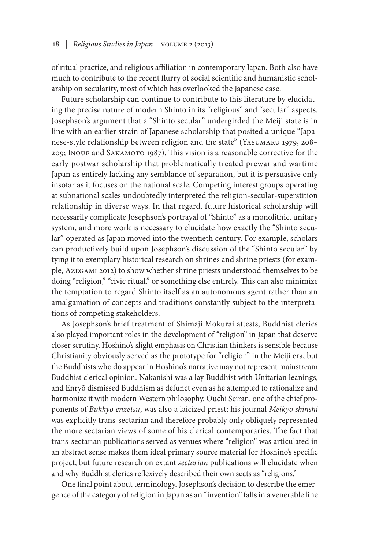of ritual practice, and religious affiliation in contemporary Japan. Both also have much to contribute to the recent flurry of social scientific and humanistic scholarship on secularity, most of which has overlooked the Japanese case.

Future scholarship can continue to contribute to this literature by elucidating the precise nature of modern Shinto in its "religious" and "secular" aspects. Josephson's argument that a "Shinto secular" undergirded the Meiji state is in line with an earlier strain of Japanese scholarship that posited a unique "Japanese-style relationship between religion and the state" (Yasumaru 1979, 208– 209; Inoue and Sakamoto 1987). This vision is a reasonable corrective for the early postwar scholarship that problematically treated prewar and wartime Japan as entirely lacking any semblance of separation, but it is persuasive only insofar as it focuses on the national scale. Competing interest groups operating at subnational scales undoubtedly interpreted the religion-secular-superstition relationship in diverse ways. In that regard, future historical scholarship will necessarily complicate Josephson's portrayal of "Shinto" as a monolithic, unitary system, and more work is necessary to elucidate how exactly the "Shinto secular" operated as Japan moved into the twentieth century. For example, scholars can productively build upon Josephson's discussion of the "Shinto secular" by tying it to exemplary historical research on shrines and shrine priests (for example, Azegami 2012) to show whether shrine priests understood themselves to be doing "religion," "civic ritual," or something else entirely. This can also minimize the temptation to regard Shinto itself as an autonomous agent rather than an amalgamation of concepts and traditions constantly subject to the interpretations of competing stakeholders.

As Josephson's brief treatment of Shimaji Mokurai attests, Buddhist clerics also played important roles in the development of "religion" in Japan that deserve closer scrutiny. Hoshino's slight emphasis on Christian thinkers is sensible because Christianity obviously served as the prototype for "religion" in the Meiji era, but the Buddhists who do appear in Hoshino's narrative may not represent mainstream Buddhist clerical opinion. Nakanishi was a lay Buddhist with Unitarian leanings, and Enryō dismissed Buddhism as defunct even as he attempted to rationalize and harmonize it with modern Western philosophy. Ōuchi Seiran, one of the chief proponents of *Bukkyō enzetsu*, was also a laicized priest; his journal *Meikyō shinshi* was explicitly trans-sectarian and therefore probably only obliquely represented the more sectarian views of some of his clerical contemporaries. The fact that trans-sectarian publications served as venues where "religion" was articulated in an abstract sense makes them ideal primary source material for Hoshino's specific project, but future research on extant *sectarian* publications will elucidate when and why Buddhist clerics reflexively described their own sects as "religions."

One final point about terminology. Josephson's decision to describe the emergence of the category of religion in Japan as an "invention" falls in a venerable line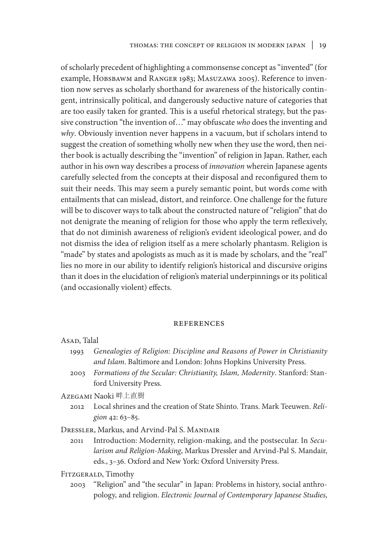of scholarly precedent of highlighting a commonsense concept as "invented" (for example, Hobsbawm and Ranger 1983; Masuzawa 2005). Reference to invention now serves as scholarly shorthand for awareness of the historically contingent, intrinsically political, and dangerously seductive nature of categories that are too easily taken for granted. This is a useful rhetorical strategy, but the passive construction "the invention of…" may obfuscate *who* does the inventing and *why*. Obviously invention never happens in a vacuum, but if scholars intend to suggest the creation of something wholly new when they use the word, then neither book is actually describing the "invention" of religion in Japan. Rather, each author in his own way describes a process of *innovation* wherein Japanese agents carefully selected from the concepts at their disposal and reconfigured them to suit their needs. This may seem a purely semantic point, but words come with entailments that can mislead, distort, and reinforce. One challenge for the future will be to discover ways to talk about the constructed nature of "religion" that do not denigrate the meaning of religion for those who apply the term reflexively, that do not diminish awareness of religion's evident ideological power, and do not dismiss the idea of religion itself as a mere scholarly phantasm. Religion is "made" by states and apologists as much as it is made by scholars, and the "real" lies no more in our ability to identify religion's historical and discursive origins than it does in the elucidation of religion's material underpinnings or its political (and occasionally violent) effects.

#### **REFERENCES**

| ASAD, Talal |  |
|-------------|--|
|             |  |

- 1993 *Genealogies of Religion: Discipline and Reasons of Power in Christianity and Islam*. Baltimore and London: Johns Hopkins University Press.
- 2003 *Formations of the Secular: Christianity, Islam, Modernity*. Stanford: Stanford University Press.

Azegami Naoki 畔上直樹

2012 Local shrines and the creation of State Shinto. Trans. Mark Teeuwen. *Religion* 42: 63–85.

DRESSLER, Markus, and Arvind-Pal S. MANDAIR

- 2011 Introduction: Modernity, religion-making, and the postsecular. In *Secularism and Religion-Making*, Markus Dressler and Arvind-Pal S. Mandair, eds., 3–36*.* Oxford and New York: Oxford University Press.
- Fitzgerald, Timothy
	- 2003 "Religion" and "the secular" in Japan: Problems in history, social anthropology, and religion. *Electronic Journal of Contemporary Japanese Studies*,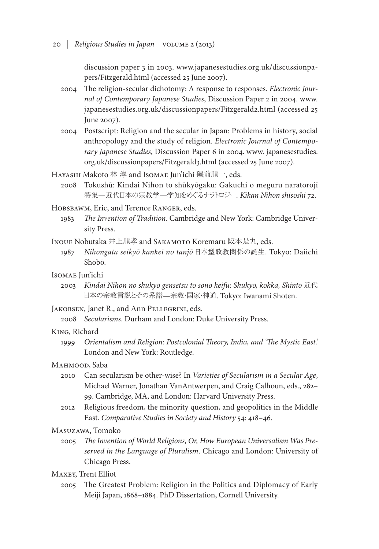discussion paper 3 in 2003. www.japanesestudies.org.uk/discussionpapers/Fitzgerald.html (accessed 25 June 2007).

- 2004 The religion-secular dichotomy: A response to responses. *Electronic Journal of Contemporary Japanese Studies*, Discussion Paper 2 in 2004. www. japanesestudies.org.uk/discussionpapers/Fitzgerald2.html (accessed 25 June 2007).
- 2004 Postscript: Religion and the secular in Japan: Problems in history, social anthropology and the study of religion. *Electronic Journal of Contemporary Japanese Studies*, Discussion Paper 6 in 2004. www. japanesestudies. org.uk/discussionpapers/Fitzgerald3.html (accessed 25 June 2007).
- HAYASHI Makoto 林 淳 and IsomAE Jun'ichi 磯前順一, eds.
	- 2008 Tokushū: Kindai Nihon to shūkyōgaku: Gakuchi o meguru naratorojī 特集—近代日本の宗教学—学知をめぐるナラトロジー*. Kikan Nihon shisōshi* 72.

Hobsbawm, Eric, and Terence Ranger, eds.

- 1983 *The Invention of Tradition*. Cambridge and New York: Cambridge University Press.
- Inoue Nobutaka 井上順孝 and SAKAMOTO Koremaru 阪本是丸, eds.
	- 1987 *Nihongata seikyō kankei no tanjō* 日本型政教関係の誕生. Tokyo: Daiichi Shobō.

## Isomae Jun'ichi

2003 *Kindai Nihon no shūkyō gensetsu to sono keifu: Shūkyō, kokka, Shintō* 近代 日本の宗教言説とその系譜—宗教・国家・神道. Tokyo: Iwanami Shoten.

Jakobsen, Janet R., and Ann Pellegrini, eds.

2008 *Secularisms*. Durham and London: Duke University Press.

#### King, Richard

1999 *Orientalism and Religion: Postcolonial Theory, India, and 'The Mystic East.'* London and New York: Routledge.

#### MAHMOOD, Saba

- 2010 Can secularism be other-wise? In *Varieties of Secularism in a Secular Age*, Michael Warner, Jonathan VanAntwerpen, and Craig Calhoun, eds., 282– 99. Cambridge, MA, and London: Harvard University Press.
- 2012 Religious freedom, the minority question, and geopolitics in the Middle East. *Comparative Studies in Society and History* 54: 418–46.

## Masuzawa, Tomoko

- 2005 *The Invention of World Religions, Or, How European Universalism Was Preserved in the Language of Pluralism*. Chicago and London: University of Chicago Press.
- Maxey, Trent Elliot
	- 2005 The Greatest Problem: Religion in the Politics and Diplomacy of Early Meiji Japan, 1868–1884. PhD Dissertation, Cornell University.